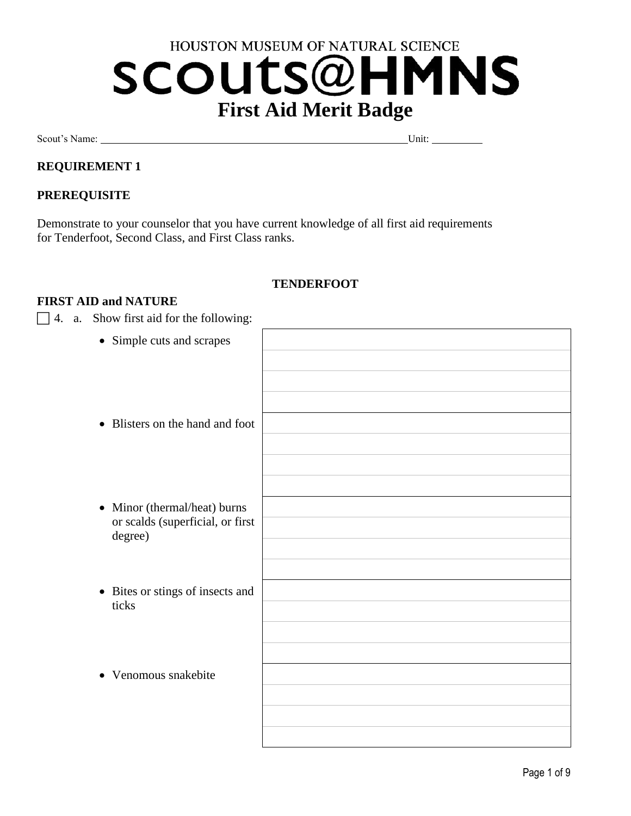# HOUSTON MUSEUM OF NATURAL SCIENCE **SCOUTS@HMNS First Aid Merit Badge**

Scout's Name: Unit: Unit: Unit: Unit: Unit: Unit: Unit: Unit: Unit: Unit: Unit: Unit: Unit: Unit: Unit: Unit: Unit: Unit: Unit: Unit: Unit: Unit: Unit: Unit: Unit: Unit: Unit: Unit: Unit: Unit: Unit: Unit: Unit: Unit: Unit

# **REQUIREMENT 1**

# **PREREQUISITE**

Demonstrate to your counselor that you have current knowledge of all first aid requirements for Tenderfoot, Second Class, and First Class ranks.

# **TENDERFOOT**

#### **FIRST AID and NATURE**

 $\Box$  4. a. Show first aid for the following:

| • Simple cuts and scrapes                   |  |
|---------------------------------------------|--|
|                                             |  |
|                                             |  |
|                                             |  |
| • Blisters on the hand and foot             |  |
|                                             |  |
|                                             |  |
|                                             |  |
|                                             |  |
| • Minor (thermal/heat) burns                |  |
| or scalds (superficial, or first<br>degree) |  |
|                                             |  |
|                                             |  |
| • Bites or stings of insects and            |  |
| ticks                                       |  |
|                                             |  |
|                                             |  |
|                                             |  |
| Venomous snakebite<br>$\bullet$             |  |
|                                             |  |
|                                             |  |
|                                             |  |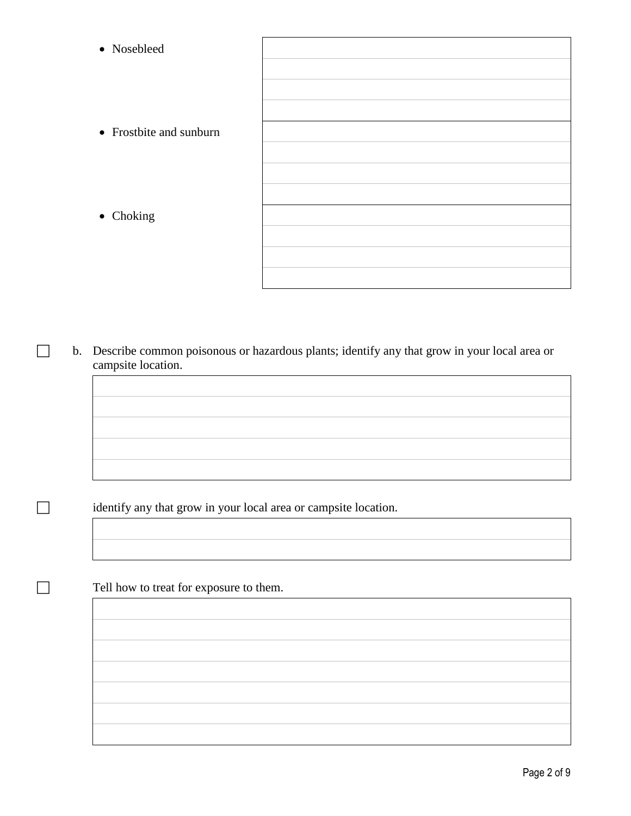| • Nosebleed             |  |
|-------------------------|--|
|                         |  |
| • Frostbite and sunburn |  |
|                         |  |
|                         |  |
| • Choking               |  |
|                         |  |
|                         |  |

 b. Describe common poisonous or hazardous plants; identify any that grow in your local area or campsite location.

identify any that grow in your local area or campsite location.

Tell how to treat for exposure to them.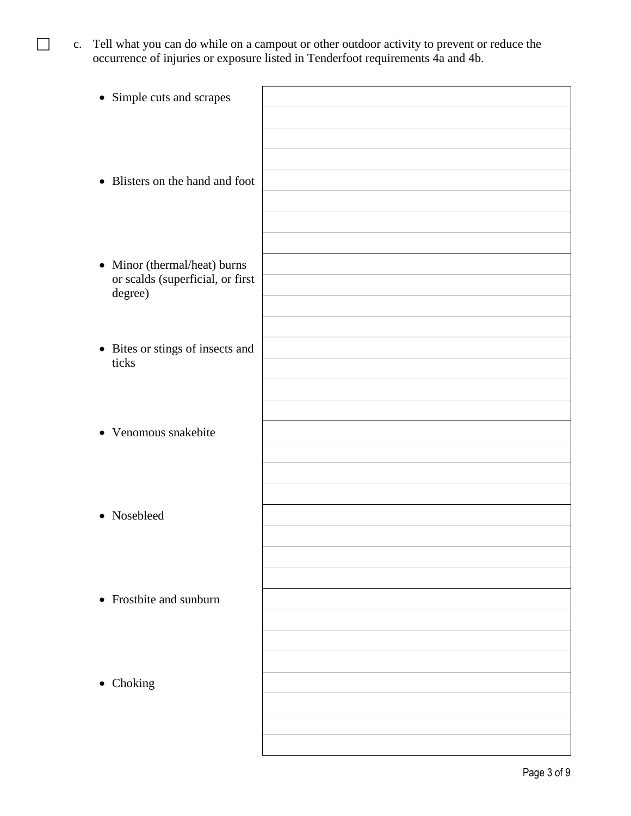c. Tell what you can do while on a campout or other outdoor activity to prevent or reduce the occurrence of injuries or exposure listed in Tenderfoot requirements 4a and 4b.

| • Simple cuts and scrapes                                        |  |
|------------------------------------------------------------------|--|
|                                                                  |  |
| • Blisters on the hand and foot                                  |  |
| • Minor (thermal/heat) burns<br>or scalds (superficial, or first |  |
| degree)                                                          |  |
| • Bites or stings of insects and<br>ticks                        |  |
| • Venomous snakebite                                             |  |
|                                                                  |  |
| • Nosebleed                                                      |  |
|                                                                  |  |
| • Frostbite and sunburn                                          |  |
| • Choking                                                        |  |
|                                                                  |  |
|                                                                  |  |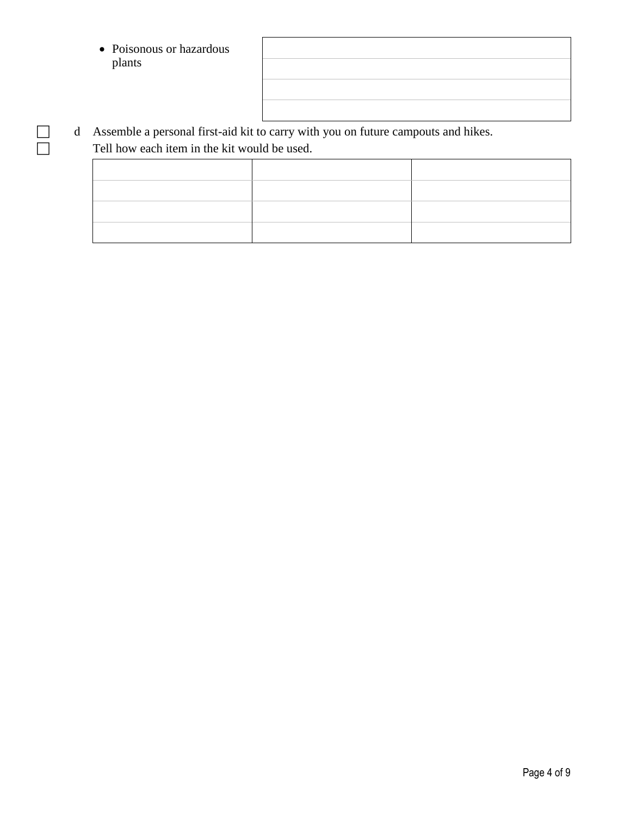- Poisonous or hazardous plants
- d Assemble a personal first-aid kit to carry with you on future campouts and hikes. Tell how each item in the kit would be used.

Page 4 of 9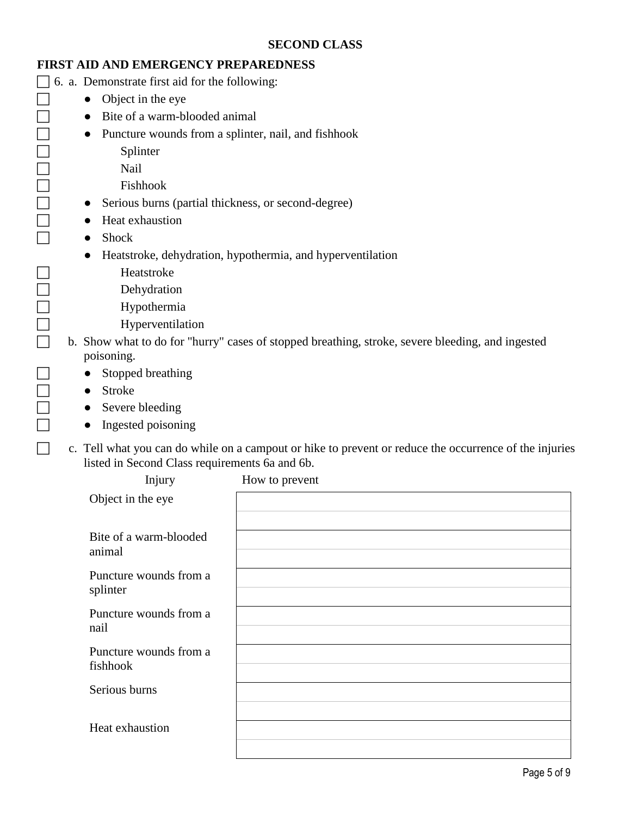#### **FIRST AID AND EMERGENCY PREPAREDNESS**

 $\Box$  6. a. Demonstrate first aid for the following:

- $\Box$   $\bullet$  Object in the eye
- $\Box$   $\bullet$  Bite of a warm-blooded animal
- **•** Puncture wounds from a splinter, nail, and fishhook
	-
	- Nail
	- Fishhook
	- Serious burns (partial thickness, or second-degree)
- <table>\n<tbody>\n<tr>\n<th>Splitter</th>\n</tr>\n<tr>\n<td>Nail</td>\n</tr>\n<tr>\n<td>First</td>\n</tr>\n<tr>\n<td>First</td>\n</tr>\n<tr>\n<td>First</td>\n</tr>\n<tr>\n<td>First</td>\n</tr>\n<tr>\n<td>First</td>\n</tr>\n<tr>\n<td>First</td>\n</tr>\n<tr>\n<td>First</td>\n</tr>\n<tr>\n<td>First</td>\n</tr>\n<tr>\n<td>Show</td>\n</tr>\n<tr>\n<td>Show</td>\n</tr>\n<tr>\n<td>First</td>\n</tr>\n<tr>\n<td>Show</td>\n</tr>\n<tr>\n<td>Subc</td>\n</tr>\n</tbody ● Heat exhaustion
	- Shock
	- Heatstroke, dehydration, hypothermia, and hyperventilation
- $\begin{tabular}{|c|c|c|c|} \hline \quad \quad & \quad \quad & \quad \quad & \quad \quad \\ \hline \quad \quad & \quad \quad & \quad \quad & \quad \quad \\ \hline \end{tabular}$ 
	-
	- Hypothermia
	- Hyperventilation
- □<br>
Dehydration<br>
Hypothermia<br>
D<br>
B. Show what to do for b. Show what to do for "hurry" cases of stopped breathing, stroke, severe bleeding, and ingested poisoning.
- □ Stopped breathing
- □ Stroke
- $\Box$  Severe bleeding
- $\Box$  Ingested poisoning
- c. Tell what you can do while on a campout or hike to prevent or reduce the occurrence of the injuries listed in Second Class requirements 6a and 6b.

| Injury                             | How to prevent |
|------------------------------------|----------------|
| Object in the eye                  |                |
| Bite of a warm-blooded<br>animal   |                |
| Puncture wounds from a<br>splinter |                |
| Puncture wounds from a<br>nail     |                |
| Puncture wounds from a<br>fishhook |                |
| Serious burns                      |                |
| Heat exhaustion                    |                |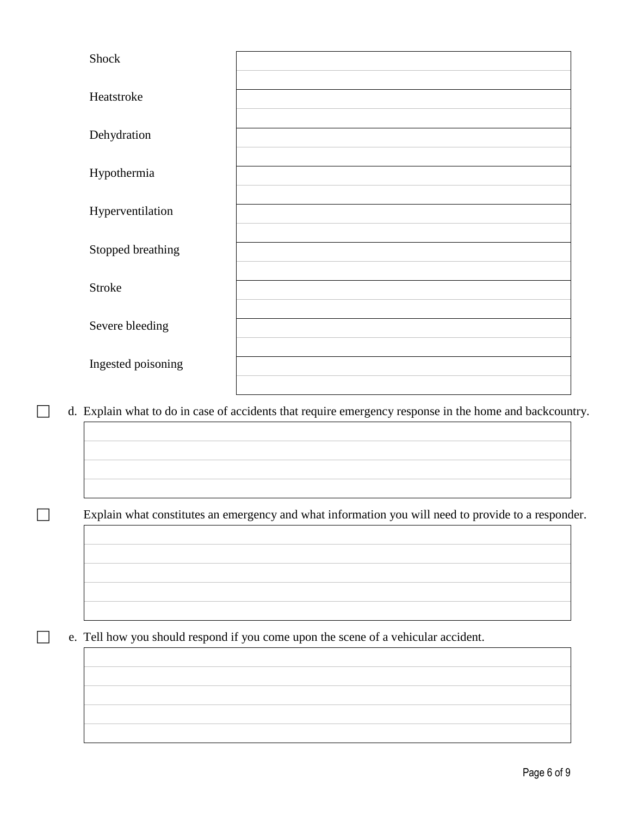| Shock              |  |
|--------------------|--|
| Heatstroke         |  |
| Dehydration        |  |
| Hypothermia        |  |
|                    |  |
| Hyperventilation   |  |
| Stopped breathing  |  |
| <b>Stroke</b>      |  |
| Severe bleeding    |  |
|                    |  |
| Ingested poisoning |  |

d. Explain what to do in case of accidents that require emergency response in the home and backcountry.

Explain what constitutes an emergency and what information you will need to provide to a responder.

e. Tell how you should respond if you come upon the scene of a vehicular accident.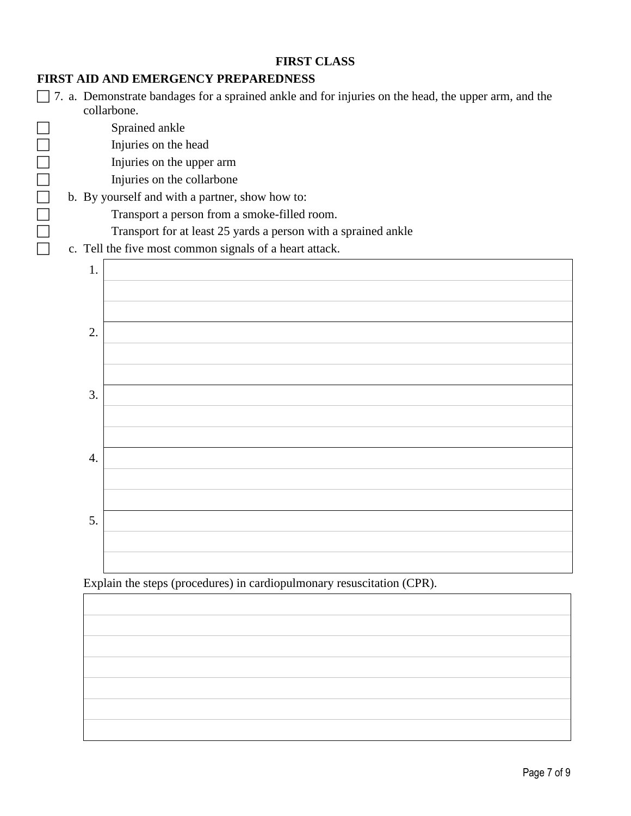#### **FIRST CLASS**

# **FIRST AID AND EMERGENCY PREPAREDNESS**

 7. a. Demonstrate bandages for a sprained ankle and for injuries on the head, the upper arm, and the collarbone.

Sprained ankle

Injuries on the upper arm

Injuries on the collarbone

# Injuries on the head<br>
Injuries on the upper<br>
Injuries on the collar<br>
Injuries on the collar<br>
D. By yourself and with a pa<br>
Transport a person f<br>
Transport for at leas<br>
c. Tell the five most commo b. By yourself and with a partner, show how to:

Transport a person from a smoke-filled room.

Transport for at least 25 yards a person with a sprained ankle

c. Tell the five most common signals of a heart attack.



Explain the steps (procedures) in cardiopulmonary resuscitation (CPR).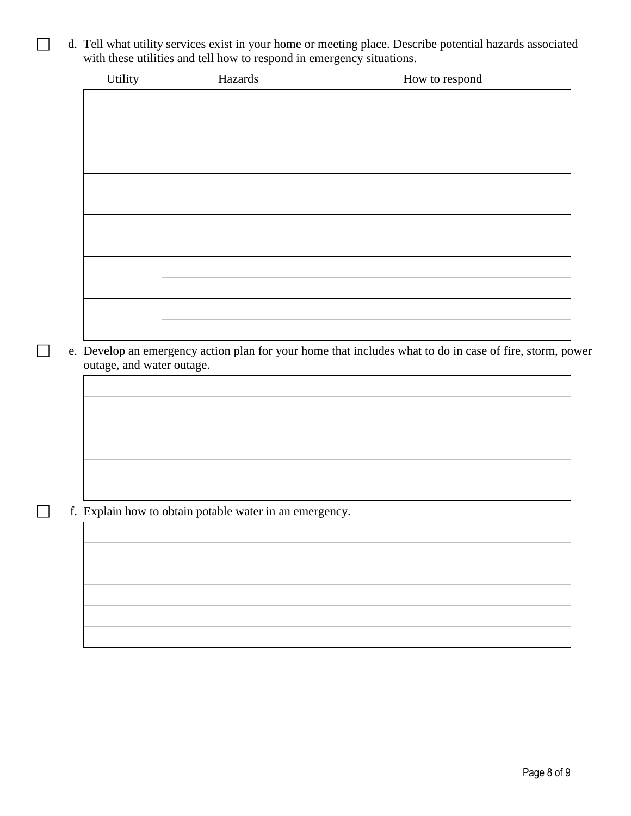d. Tell what utility services exist in your home or meeting place. Describe potential hazards associated with these utilities and tell how to respond in emergency situations.

| Utility | Hazards | How to respond |
|---------|---------|----------------|
|         |         |                |
|         |         |                |
|         |         |                |
|         |         |                |
|         |         |                |
|         |         |                |
|         |         |                |
|         |         |                |
|         |         |                |
|         |         |                |
|         |         |                |
|         |         |                |
|         |         |                |
|         |         |                |
|         |         |                |

 e. Develop an emergency action plan for your home that includes what to do in case of fire, storm, power outage, and water outage.

f. Explain how to obtain potable water in an emergency.